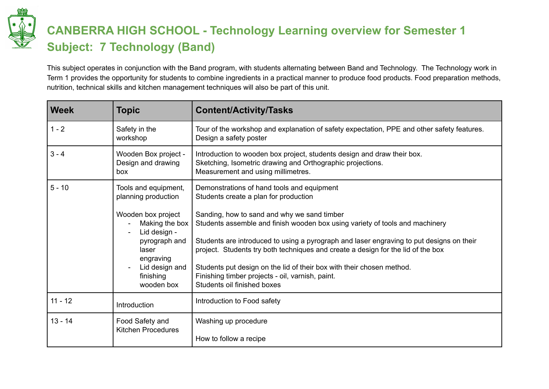

## **CANBERRA HIGH SCHOOL - Technology Learning overview for Semester 1 Subject: 7 Technology (Band)**

This subject operates in conjunction with the Band program, with students alternating between Band and Technology. The Technology work in Term 1 provides the opportunity for students to combine ingredients in a practical manner to produce food products. Food preparation methods, nutrition, technical skills and kitchen management techniques will also be part of this unit.

| <b>Week</b> | <b>Topic</b>                                                                                                                                                                            | <b>Content/Activity/Tasks</b>                                                                                                                                                                                                                                                                                                                                                                                                                                                                                                                                  |
|-------------|-----------------------------------------------------------------------------------------------------------------------------------------------------------------------------------------|----------------------------------------------------------------------------------------------------------------------------------------------------------------------------------------------------------------------------------------------------------------------------------------------------------------------------------------------------------------------------------------------------------------------------------------------------------------------------------------------------------------------------------------------------------------|
| $1 - 2$     | Safety in the<br>workshop                                                                                                                                                               | Tour of the workshop and explanation of safety expectation, PPE and other safety features.<br>Design a safety poster                                                                                                                                                                                                                                                                                                                                                                                                                                           |
| $3 - 4$     | Wooden Box project -<br>Design and drawing<br>box                                                                                                                                       | Introduction to wooden box project, students design and draw their box.<br>Sketching, Isometric drawing and Orthographic projections.<br>Measurement and using millimetres.                                                                                                                                                                                                                                                                                                                                                                                    |
| $5 - 10$    | Tools and equipment,<br>planning production<br>Wooden box project<br>Making the box<br>Lid design -<br>pyrograph and<br>laser<br>engraving<br>Lid design and<br>finishing<br>wooden box | Demonstrations of hand tools and equipment<br>Students create a plan for production<br>Sanding, how to sand and why we sand timber<br>Students assemble and finish wooden box using variety of tools and machinery<br>Students are introduced to using a pyrograph and laser engraving to put designs on their<br>project. Students try both techniques and create a design for the lid of the box<br>Students put design on the lid of their box with their chosen method.<br>Finishing timber projects - oil, varnish, paint.<br>Students oil finished boxes |
| $11 - 12$   | Introduction                                                                                                                                                                            | Introduction to Food safety                                                                                                                                                                                                                                                                                                                                                                                                                                                                                                                                    |
| $13 - 14$   | Food Safety and<br><b>Kitchen Procedures</b>                                                                                                                                            | Washing up procedure<br>How to follow a recipe                                                                                                                                                                                                                                                                                                                                                                                                                                                                                                                 |